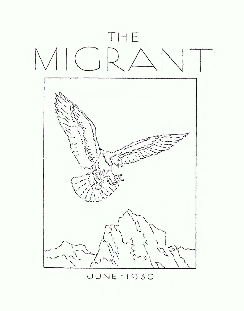

 $UUNE - I030$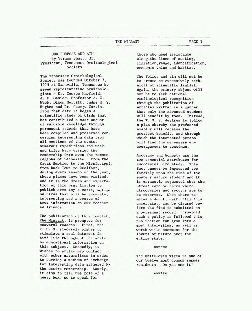# **THE** MIGRANT **PAGE 1**

**OUR PURPOSE AND AIM By Vernon Sharp, Jr. Presf dent, Tennessee OrnithologicaL Society** 

**The Tennessee Ornithological Society was founded October 7, 1915 at Nashville, Tennessee by seven representative ornithologists** - **Dr. George Mayfield, A. F. Ganier, Professor A, C.**   $Webb$ , Dixon Merritt, Judge H. Y. **Hughes and Dr, George Curtis. From that date it began a scientific study of blrds that has contributed a vest amount of valuable knowledge through permanent records that have been compiled and preserved concerning interesting data from all sections of the state,**  Numerous expeditions and week**end trips have carried the membership into even the remote regions of Tennessee. From the Great Snakies to the Mississippi, from Duck Town to Reelfoot, during every season of rhe year, these places have been visited. And it is the dream and expectatioa of this organization to publish same day** *a* **worthy volume on birds that will be accurate, interesting and a aource of**  *true* **information on our feathered friends.** 

**The publication of this leaflet, The Higrant, is prompted for seaveral reasons. First, the T. 0. S, stricerely wishes to stimulate a real interest in bird Life throughout the state by educational information on this subject. Secondly, it wishes to strike new contact with other naturalists in order to develop a medium of exchange for interesting data gathered by**  *the* **entire membership. Lastly, it aims to fill the role of a query box, so to speak for** 

**those who need assistance along** *the* **lines of nesting, migration,range, identification, economic value and habitat.** 

**The Policy and aim will not be to create an excessively technical or scientific leaflet. Again, the primary object will not be to seek national ornithological recognition through the publication of articles written in a manner that only the advanced student will benefit by them. Inatead,**  *the* **T. 0. S. desires to follw a plan whereby the professed amateur will receive the greatest benefit, and through which the interested person will find the necessary encouragement to continue.** 

**Accuracy and honesty are the two essential attributes for successful bird study. This fact cannot be impreseed too forcibly upon the mind of the amateur nature student and it 1s earnestly requested that the utmost care be taken where discoveries and records are to**  *be* **reported. When there re** $mains$  **a** doubt, wait until this **uncertainty can be cleared before the find Is submitted as a permanent record. Provided such a policy is followed this publication can grow into a most interesting, as well as worth while document for** *the*  **lovers of nature over** *the*  **entire state.** 

### \*\*\*\*\*\*

**The white-eyed vireo is one of our twelve most common sumer residents. Do you see it?** 

\*\*\*\*\*\*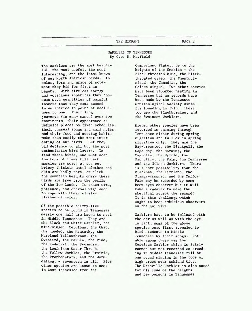### **THE MIGRANT PAGE 2**

# **WARBLERS OF TENNESSEE By Geo. R. Mayfield**

**The warblers are the most beautiful, the most useful, the most interesting, and the least known of our North American birds. In color, form and grace of movement** *they* **bid for first in beauty. With tireless energy and voracious appetites they con- 'srtme such quantities of harmful insects** that they come second **to no species in point of usefulness to man. Their long journeys (in many cases) over two continents, their appearance at definite places on fixed schedules, their unuaual songs and call, notes, and their food and nesting habits make them easily the most interesting of our birds. But they bid defiance to all but the most enthusiastic bird lovers. To find these birds, one must scan**  *the* **tops of trees till neck muscles are sore; or spy out briery thickets until cloches and skin are badly torn; or climb**  *the* **mountain heights** *where* **these birds are free from the perils of** *the* **low lands. It takes rime, patience. and eternal vigilance to cope with these elusive flashes of color.** 

**Of the possible thirty-five species to be found in Tennessee nearly one half are known to nest fa Middle Tennessee. They are the Black and White Warbler, the Blue-winged, Cerulean, the Chat, the Hooded, the Kentucky, the Plaryland Yellowthroat, the Ovenbird, the Parula, the Pine, the Redstart, the Sycamore, the Louieiana Water Thrush, the Yellow Warbler, the Prairie, the Prothonatary, and the Wormeating,** - **seventeen in all. Five other species are known to nest in Eaet Tennessee from the** 

**Cumberland Plateau up to the heights of the Smokies** - **the Black-throated Blue, the Blackthroated Green, the Chestnutsided, the Canadian, the Golden-winged, Two other species have been reported nesting in Tennessee but no records have been made by the Tennessee Ornithological Society since its founding in 1915. These two ere the Blackburntan, end the Swainson Warblers.** 

**Eleven other species have been recorded as passing through Tennessee either during spring migration and fall or in sprfng migration only. They are the Bay-breasted, the Blackpoll,** *the*  **Cape May, the Norning, the Magnolia**, the Myrtle, the **Nashvfll2, the Palm, the Tennessee**  and the **Wilson Warblers**. There **is a bare possibility that the Blackman, the Kirtland** , **the Orange-crowned, and the** *Yellow*  **Palm may be recorded by some keen-eyed observer but it will take a cadaver to make the skeptical accept the record! It is this challenge which ought to keep ambitious observers on the g ui vive** ,

**Warblers have to be followed wirh**  *the* **ear as well as wirh the eye, In fact, some of the above species were first revealed to bird students in Middle Tennessee by their songs. Notable among these was the Cerulean Warbler which is fairly cormnar;but not xecorded as breeding in Middle Tennessee till he was found singing in the tops of high trees near &bland City. The Nashville Warbler is also noted for his love of the heights and few persons in Tennessee**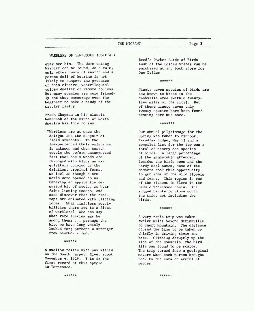**WARBLERS OF TENNESSEE <Cone'd.)** 

**wer see him. The Warm-eating Warbler can be found, as** *a* **rule, wly after hours of search and a person dull of hearing is not likely to suspect the presence of this elusive, ventriloquialvoiced dweller of remote hollows. But many species are more friendly and they encourage even the beginner to make a study of** *the*  **warbler family.** 

**Frank Chapman in his cLassic hadbook of the Birds of North America has this to say:** 

**"Warblers are at once the delight and the despair of field students.** To **the inexperienced their existence is unknown and when** *search*  **revels the before unsuspected fact that one's woods are thronged with birds as exquisitely colored as the dafntiest ttopical forme, we feel as though a new world** *were* **opened to us. Entering an apparently deserted bit of woods, we hear fafnt lisping tseeps, and soon discover that the treetops are animated with flitting forms. Ihat limitless possibilities there are in a flock of warblers!** *Who* **can say what rare species may be among them?** ... **perhaps the bird we have long vainly looked for: perhaps a stranger from another cl imc** . ''

#### \*\*\*\*\*\*

**A swallow-tailed kite was killed on the South Harpeth River about November** 4, **1929. This is the first record of this specie in Tennessee.** 

**Reed's Pocket Guide of Birds East of the Untted States can be purchased at any book store for One Dollar.** 

### \*\*\*\*\*\*

**Ninety seven species of birds are now known to breed in the Nashville area (within twentyfive miles of the city). But of these ninety seven only twenty species have been found nesting here but once.** 

### \*\*\*\*\*\*\*

**Our annual pilgrimage for the Spring was taken to Pinhook, Paradise Ridge, May 11 and a compiled list for the day was a total of ninety-one species of birds. A large percentage of** *the* **membership attended. Besides** *the* **birds seen and the hardy meal eaten, some of the members took this opportunity to get some of the wild flowers and ferns. This region is one**  of **the richest in Flora in the Htddle Tennessee basin. The rugged beauty is alone worth the trip, not including the bf rds** .

### \*\*\*\*\*\*

**A very rapid trip was taken twelve miles beyond McMinnville to Short Mountain. me distance caused the time to be taka up chiefly in driving there and back. Climbing abruptly up the side of the mountain, the bird life was found to be scarce. The trip turned into a geological**  *nature* **when each person brought back to** *the* **ears an armful of geodes.** 

\*\*\*\*\*\*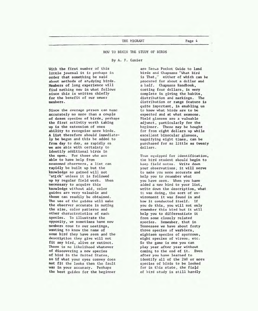**HOW TO BEGIN THE STUDY OF BIRDS** 

#### **By A. F. Ganier**

**With the first number of this little journal it is perhaps in order that something be said about methods of studying birds. Member8 of long experience will find nothing new in what follows since this is written chiefly for the benefit of our** never **members.** 

**Since the average person can nsmc accurately no more than a couple of dozen species of birds, perhaps the first activity worth taking up ia the extension of ones ability to recognize more birds. A lfst therefore should iwnediately be begun and this be added to fram day to day, as rapidly ns we are able with certainty to identify additional birds in the gren. For those who are able to have help from seasoned observers, a list can rapidly be built up but the knowledge so gained will not "stick" unless it is followed up by regular field work. When neces8ary to acquire this kaouledge without aid, color guides are very valuable and these can readily be obtained. The use of the guides will make the observer accurate in noting the size, color patterns and arher charactcxistics of eacn species. To illustrate the opposity, we sometimes have new members come to our a~eetings** , **wanting to know the name of some bird they have seen and the description they give will not fit any bird, alive or extinct. There is no likelihood whatever of discovering a new species of btrd in the United States, PO if what your oyea convey does not fit the looks rhea** *the* **fault was tn your accuracy. Perhaps the beat guides for the beginner** 

**are Recus Pocket Guide to laud birds and Chapmans "What Bird is That," either of which can be procured for about a dollar and a half. Chapmans Handbook, costing four dollars, is very complete in giving the habits, distrfbution and markings. The distributian or range feature is quite important, in enabling us to know what bixds are to be expected and at what seasons. Field glasses are a valuable adj unet** , **particularly for the beginner. These may be bought for from elght dollars up while excellent binocular glassee, magnifying eight times, can be purchased for as little as twenty dollars.** 

**Thus equipped for identification,**  the **bird student should begin to keep field notes. Write davn your observations; it will serve to inake you more accurate and help you to remember what you have seen. When you have added a new bird to your list, write down the description, what it was doing, the sort of environment** it **was found in and**  *how* **it conducted itself. If you do this, you will not only remember this bird but it will help you to differentiate it from some closely related species. Remember, that in Tennessee we have about forty three species of warblers, eighteen species of sparrcwB, eight** species of vireos, etc. **So the game is one you can play year after year without coming to the end of it. Even after you have learned to identify all of** *the* **280 or mrc species of birds to** *be* **looked for in this state, the field of bird study is still hardly**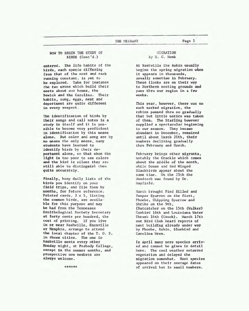# **HOW TO BEGIN THE STUDY OF BIRDS (Cont** ' **d** . )

**entered. The life habits of the birds, each specie differing from that of the** *next* **and each running constant, is pet to** , **be explored. Take for instance the two** *wrens* **which build their neats about our homes, the Bewick and the Carolina. Their habits, song, eggs, nest and deportment are quite different in every respect.** 

**The** identification **of birds by their songs and call notes is a study in itself and it is possible to become very proficient in identification by this means alone. But color and song are by no wane the only means, many students have learned to identify birds by their deportment alone, so that when the light is too poor to see colors and the bird is silenr they ere still able to distinguish them quite accurately** .

**Finally, keep daily lists of the birds you identify on your field trips, and file them by months, fox future referecce. Printed cards, 3 x 5, Listing the common birds, are available for this purpose and may**  *be* **had from the Tennessee Omitholagical Society Secretary at forty cents per hundred, the coot of printing, If you live**   $\ln$  or  $\text{near}$  Nashville, Knoxville **or Memphis, arrange to attend the local chapter of the T. 0. S+ in these cities.** *The* **one in Nashville meets every other Monday night, at Peabody College, except in the summer months, and prospective new members are always welcome.** 

\*\*\*\*\*\*

# **MIGRATION 3y** 11. **C. Monk**

**At Nashville** *the* **Robin usually begins the spring migration when it appears in thousands, usually sometime in February. These flocks are on their way to Northern nesting grounds and pass thxu our region in a few weeks.** 

**This year, however, there was no such marked migration, the robins passed thru so gradually that but little notice was taken of them. The Starling however supplied a spectacular beginning to our season. They became abundant in December, remained until about lbrch 20th, their numbers declining gradually ~hru Februaxy and March.** 

**February brings other migrants, notably the ~rackle which Come8 about the middle of the month, while Dones and Ked Winged Blackbirds appear about-the same time. On** *the* **25th** *the*  **Woodcock was found by Dr. Mayf ield** .

**March brought Pied Billed and Vesper Sparrow on the first, Phoebe, Chipping Sparrow and Shrike on the 9th. (Natcatcher on the 15th (Walker) Cowbird 16th and Louisiana Water Thrush 16th (Crook). March 17th our Bird Club beard reports of nest building already under way by Phoebe, Robin, Bluebird and Carolina Wren.** 

**In April many more species arrived and cannot be given in detail here. The cool weather retarded vegetation and delayed the migration samewhnt. Wost species appeared on their average dates of oxrival but in small numbers.**